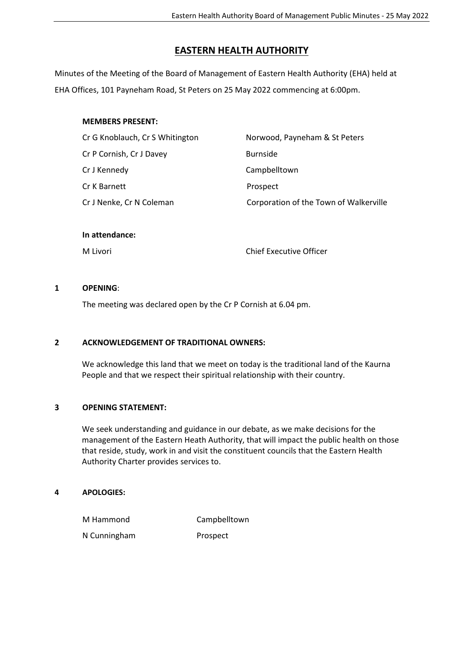## **EASTERN HEALTH AUTHORITY**

Minutes of the Meeting of the Board of Management of Eastern Health Authority (EHA) held at EHA Offices, 101 Payneham Road, St Peters on 25 May 2022 commencing at 6:00pm.

### **MEMBERS PRESENT:**

| Cr G Knoblauch, Cr S Whitington | Norwood, Payneham & St Peters          |
|---------------------------------|----------------------------------------|
| Cr P Cornish, Cr J Davey        | <b>Burnside</b>                        |
| Cr J Kennedy                    | Campbelltown                           |
| Cr K Barnett                    | Prospect                               |
| Cr J Nenke, Cr N Coleman        | Corporation of the Town of Walkerville |
|                                 |                                        |

#### **In attendance:**

M Livori Chief Executive Officer

#### **1 OPENING**:

The meeting was declared open by the Cr P Cornish at 6.04 pm.

## **2 ACKNOWLEDGEMENT OF TRADITIONAL OWNERS:**

We acknowledge this land that we meet on today is the traditional land of the Kaurna People and that we respect their spiritual relationship with their country.

#### **3 OPENING STATEMENT:**

We seek understanding and guidance in our debate, as we make decisions for the management of the Eastern Heath Authority, that will impact the public health on those that reside, study, work in and visit the constituent councils that the Eastern Health Authority Charter provides services to.

#### **4 APOLOGIES:**

M Hammond Campbelltown

N Cunningham Prospect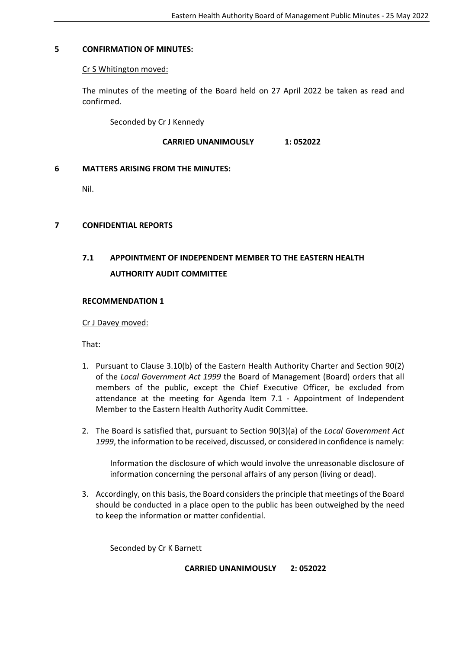#### **5 CONFIRMATION OF MINUTES:**

#### Cr S Whitington moved:

The minutes of the meeting of the Board held on 27 April 2022 be taken as read and confirmed.

Seconded by Cr J Kennedy

#### **CARRIED UNANIMOUSLY 1: 052022**

#### **6 MATTERS ARISING FROM THE MINUTES:**

Nil.

#### **7 CONFIDENTIAL REPORTS**

# **7.1 APPOINTMENT OF INDEPENDENT MEMBER TO THE EASTERN HEALTH AUTHORITY AUDIT COMMITTEE**

#### **RECOMMENDATION 1**

#### Cr J Davey moved:

That:

- 1. Pursuant to Clause 3.10(b) of the Eastern Health Authority Charter and Section 90(2) of the *Local Government Act 1999* the Board of Management (Board) orders that all members of the public, except the Chief Executive Officer, be excluded from attendance at the meeting for Agenda Item 7.1 - Appointment of Independent Member to the Eastern Health Authority Audit Committee.
- 2. The Board is satisfied that, pursuant to Section 90(3)(a) of the *Local Government Act 1999*, the information to be received, discussed, or considered in confidence is namely:

Information the disclosure of which would involve the unreasonable disclosure of information concerning the personal affairs of any person (living or dead).

3. Accordingly, on this basis, the Board considers the principle that meetings of the Board should be conducted in a place open to the public has been outweighed by the need to keep the information or matter confidential.

Seconded by Cr K Barnett

**CARRIED UNANIMOUSLY 2: 052022**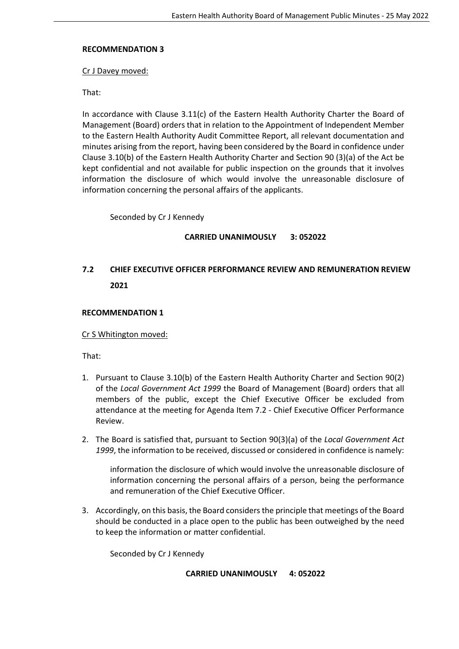#### **RECOMMENDATION 3**

Cr J Davey moved:

That:

In accordance with Clause 3.11(c) of the Eastern Health Authority Charter the Board of Management (Board) orders that in relation to the Appointment of Independent Member to the Eastern Health Authority Audit Committee Report, all relevant documentation and minutes arising from the report, having been considered by the Board in confidence under Clause 3.10(b) of the Eastern Health Authority Charter and Section 90 (3)(a) of the Act be kept confidential and not available for public inspection on the grounds that it involves information the disclosure of which would involve the unreasonable disclosure of information concerning the personal affairs of the applicants.

Seconded by Cr J Kennedy

## **CARRIED UNANIMOUSLY 3: 052022**

## **7.2 CHIEF EXECUTIVE OFFICER PERFORMANCE REVIEW AND REMUNERATION REVIEW 2021**

#### **RECOMMENDATION 1**

Cr S Whitington moved:

That:

- 1. Pursuant to Clause 3.10(b) of the Eastern Health Authority Charter and Section 90(2) of the *Local Government Act 1999* the Board of Management (Board) orders that all members of the public, except the Chief Executive Officer be excluded from attendance at the meeting for Agenda Item 7.2 - Chief Executive Officer Performance Review.
- 2. The Board is satisfied that, pursuant to Section 90(3)(a) of the *Local Government Act 1999*, the information to be received, discussed or considered in confidence is namely:

information the disclosure of which would involve the unreasonable disclosure of information concerning the personal affairs of a person, being the performance and remuneration of the Chief Executive Officer.

3. Accordingly, on this basis, the Board considers the principle that meetings of the Board should be conducted in a place open to the public has been outweighed by the need to keep the information or matter confidential.

Seconded by Cr J Kennedy

#### **CARRIED UNANIMOUSLY 4: 052022**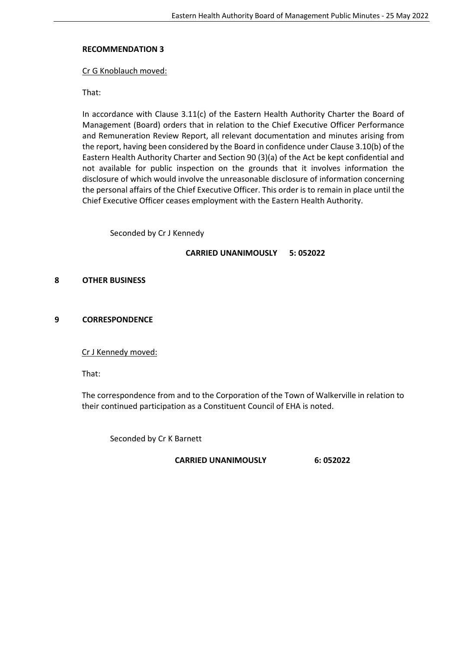#### **RECOMMENDATION 3**

#### Cr G Knoblauch moved:

That:

In accordance with Clause 3.11(c) of the Eastern Health Authority Charter the Board of Management (Board) orders that in relation to the Chief Executive Officer Performance and Remuneration Review Report, all relevant documentation and minutes arising from the report, having been considered by the Board in confidence under Clause 3.10(b) of the Eastern Health Authority Charter and Section 90 (3)(a) of the Act be kept confidential and not available for public inspection on the grounds that it involves information the disclosure of which would involve the unreasonable disclosure of information concerning the personal affairs of the Chief Executive Officer. This order is to remain in place until the Chief Executive Officer ceases employment with the Eastern Health Authority.

Seconded by Cr J Kennedy

#### **CARRIED UNANIMOUSLY 5: 052022**

#### **8 OTHER BUSINESS**

#### **9 CORRESPONDENCE**

Cr J Kennedy moved:

That:

The correspondence from and to the Corporation of the Town of Walkerville in relation to their continued participation as a Constituent Council of EHA is noted.

Seconded by Cr K Barnett

**CARRIED UNANIMOUSLY 6: 052022**